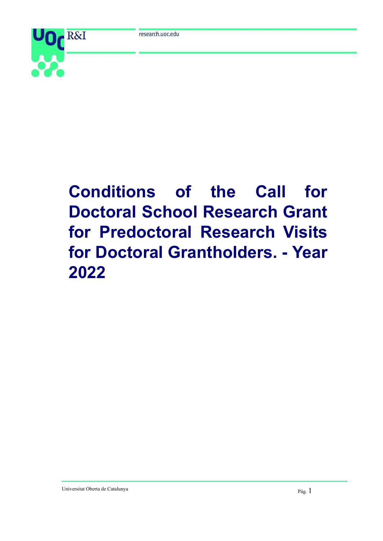

# **Conditions of the Call for Doctoral School Research Grant for Predoctoral Research Visits for Doctoral Grantholders. - Year 2022**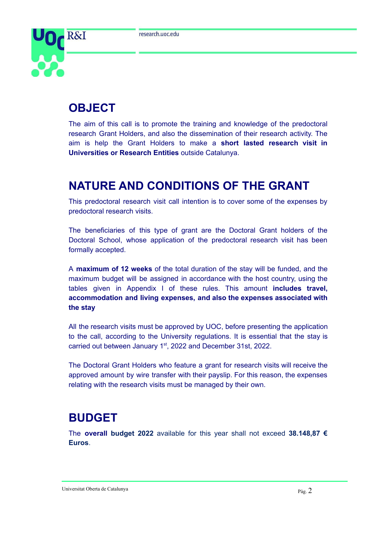

# **OBJECT**

The aim of this call is to promote the training and knowledge of the predoctoral research Grant Holders, and also the dissemination of their research activity. The aim is help the Grant Holders to make a **short lasted research visit in Universities or Research Entities** outside Catalunya.

### **NATURE AND CONDITIONS OF THE GRANT**

This predoctoral research visit call intention is to cover some of the expenses by predoctoral research visits.

The beneficiaries of this type of grant are the Doctoral Grant holders of the Doctoral School, whose application of the predoctoral research visit has been formally accepted.

A **maximum of 12 weeks** of the total duration of the stay will be funded, and the maximum budget will be assigned in accordance with the host country, using the tables given in Appendix I of these rules. This amount **includes travel, accommodation and living expenses, and also the expenses associated with the stay**

All the research visits must be approved by UOC, before presenting the application to the call, according to the University regulations. It is essential that the stay is carried out between January 1<sup>st</sup>, 2022 and December 31st, 2022.

The Doctoral Grant Holders who feature a grant for research visits will receive the approved amount by wire transfer with their payslip. For this reason, the expenses relating with the research visits must be managed by their own.

### **BUDGET**

The **overall budget 2022** available for this year shall not exceed **38.148,87 € Euros**.

Universitat Oberta de Catalunya Pàg. 2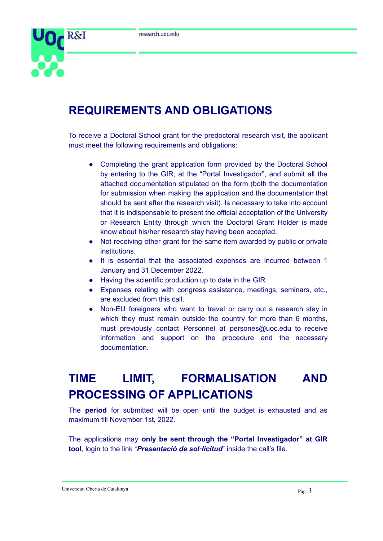

### **REQUIREMENTS AND OBLIGATIONS**

To receive a Doctoral School grant for the predoctoral research visit, the applicant must meet the following requirements and obligations:

- Completing the grant application form provided by the Doctoral School by entering to the GIR, at the "Portal Investigador", and submit all the attached documentation stipulated on the form (both the documentation for submission when making the application and the documentation that should be sent after the research visit). Is necessary to take into account that it is indispensable to present the official acceptation of the University or Research Entity through which the Doctoral Grant Holder is made know about his/her research stay having been accepted.
- Not receiving other grant for the same item awarded by public or private institutions.
- It is essential that the associated expenses are incurred between 1 January and 31 December 2022.
- Having the scientific production up to date in the GIR.
- Expenses relating with congress assistance, meetings, seminars, etc., are excluded from this call.
- Non-EU foreigners who want to travel or carry out a research stay in which they must remain outside the country for more than 6 months, must previously contact Personnel at persones@uoc.edu to receive information and support on the procedure and the necessary documentation.

## **TIME LIMIT, FORMALISATION AND PROCESSING OF APPLICATIONS**

The **period** for submitted will be open until the budget is exhausted and as maximum till November 1st, 2022.

The applications may **only be sent through the "Portal Investigador" at GIR tool**, login to the link "*Presentació de sol·licitud*" inside the call's file.

#### Universitat Oberta de Catalunya Pàg. 3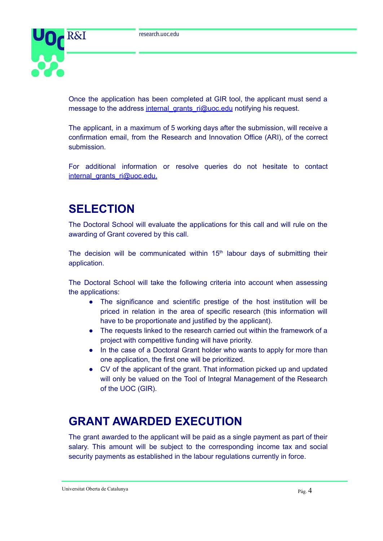

Once the application has been completed at GIR tool, the applicant must send a message to the address [internal\\_grants\\_ri@uoc.edu](mailto:internal_grants_ri@uoc.edu) notifying his request.

The applicant, in a maximum of 5 working days after the submission, will receive a confirmation email, from the Research and Innovation Office (ARI), of the correct submission.

For additional information or resolve queries do not hesitate to contact internal\_grants\_ri@uoc.edu.

### **SELECTION**

The Doctoral School will evaluate the applications for this call and will rule on the awarding of Grant covered by this call.

The decision will be communicated within  $15<sup>th</sup>$  labour days of submitting their application.

The Doctoral School will take the following criteria into account when assessing the applications:

- The significance and scientific prestige of the host institution will be priced in relation in the area of specific research (this information will have to be proportionate and justified by the applicant).
- The requests linked to the research carried out within the framework of a project with competitive funding will have priority.
- In the case of a Doctoral Grant holder who wants to apply for more than one application, the first one will be prioritized.
- CV of the applicant of the grant. That information picked up and updated will only be valued on the Tool of Integral Management of the Research of the UOC (GIR).

### **GRANT AWARDED EXECUTION**

The grant awarded to the applicant will be paid as a single payment as part of their salary. This amount will be subject to the corresponding income tax and social security payments as established in the labour regulations currently in force.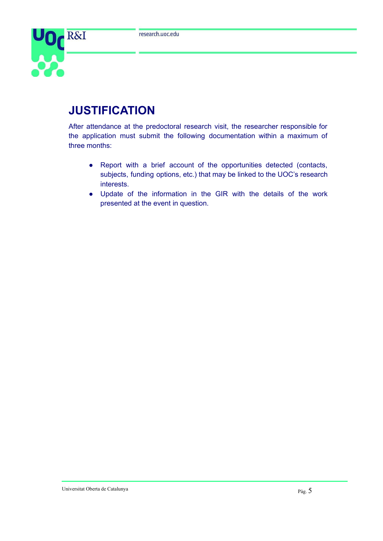

# **JUSTIFICATION**

After attendance at the predoctoral research visit, the researcher responsible for the application must submit the following documentation within a maximum of three months:

- Report with a brief account of the opportunities detected (contacts, subjects, funding options, etc.) that may be linked to the UOC's research interests.
- Update of the information in the GIR with the details of the work presented at the event in question.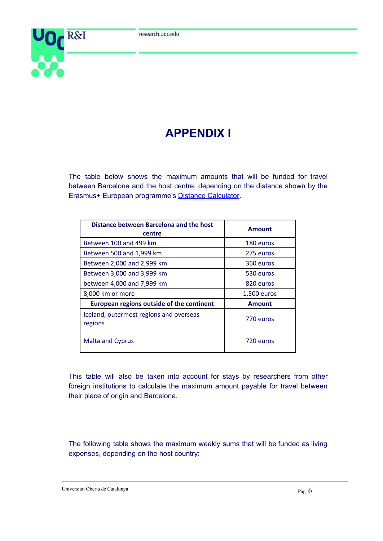

# **APPENDIX I**

The table below shows the maximum amounts that will be funded for travel between Barcelona and the host centre, depending on the distance shown by the Erasmus+ European programme's Distance [Calculator.](https://ec.europa.eu/programmes/erasmus-plus/resources/distance-calculator_en)

| Distance between Barcelona and the host<br>centre  | <b>Amount</b> |
|----------------------------------------------------|---------------|
| Between 100 and 499 km                             | 180 euros     |
| Between 500 and 1,999 km                           | 275 euros     |
| Between 2,000 and 2,999 km                         | 360 euros     |
| Between 3,000 and 3,999 km                         | 530 euros     |
| between 4,000 and 7,999 km                         | 820 euros     |
| 8,000 km or more                                   | 1,500 euros   |
| European regions outside of the continent          | <b>Amount</b> |
| Iceland, outermost regions and overseas<br>regions | 770 euros     |
| <b>Malta and Cyprus</b>                            | 720 euros     |

This table will also be taken into account for stays by researchers from other foreign institutions to calculate the maximum amount payable for travel between their place of origin and Barcelona.

The following table shows the maximum weekly sums that will be funded as living expenses, depending on the host country:

Universitat Oberta de Catalunya Pàg. 6